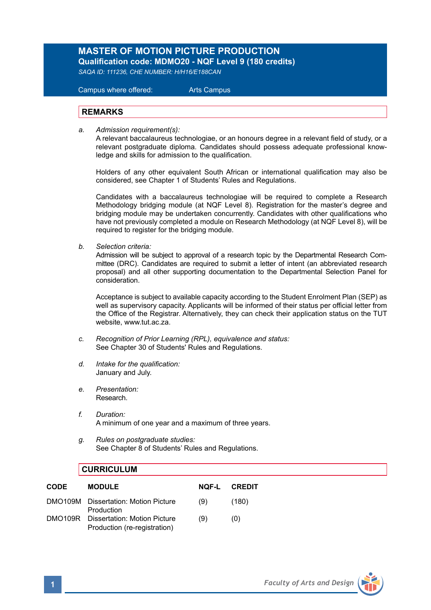## **MASTER OF MOTION PICTURE PRODUCTION Qualification code: MDMO20 - NQF Level 9 (180 credits)**

*SAQA ID: 111236, CHE NUMBER: H/H16/E188CAN*

 Campus where offered: Arts Campus

## **REMARKS**

*a. Admission requirement(s):*

A relevant baccalaureus technologiae, or an honours degree in a relevant field of study, or a relevant postgraduate diploma*.* Candidates should possess adequate professional know ledge and skills for admission to the qualification.

Holders of any other equivalent South African or international qualification may also be considered, see Chapter 1 of Students' Rules and Regulations.

Candidates with a baccalaureus technologiae will be required to complete a Research Methodology bridging module (at NQF Level 8). Registration for the master's degree and bridging module may be undertaken concurrently. Candidates with other qualifications who have not previously completed a module on Research Methodology (at NQF Level 8), will be required to register for the bridging module.

*b. Selection criteria:*

Admission will be subject to approval of a research topic by the Departmental Research Committee (DRC). Candidates are required to submit a letter of intent (an abbreviated research proposal) and all other supporting documentation to the Departmental Selection Panel for consideration.

Acceptance is subject to available capacity according to the Student Enrolment Plan (SEP) as well as supervisory capacity. Applicants will be informed of their status per official letter from the Office of the Registrar. Alternatively, they can check their application status on the TUT website, www.tut.ac.za.

- *c. Recognition of Prior Learning (RPL), equivalence and status:* See Chapter 30 of Students' Rules and Regulations.
- *d. Intake for the qualification:* January and July.
- *e. Presentation:*  Research.
- *f. Duration:* A minimum of one year and a maximum of three years.
- *g. Rules on postgraduate studies:* See Chapter 8 of Students' Rules and Regulations.

## **CURRICULUM**

| <b>CODE</b>    | <b>MODULE</b>                                                | NOF-L | CREDIT |
|----------------|--------------------------------------------------------------|-------|--------|
|                | DMO109M Dissertation: Motion Picture<br>Production           | (9)   | (180)  |
| <b>DMO109R</b> | Dissertation: Motion Picture<br>Production (re-registration) | (9)   | (0)    |